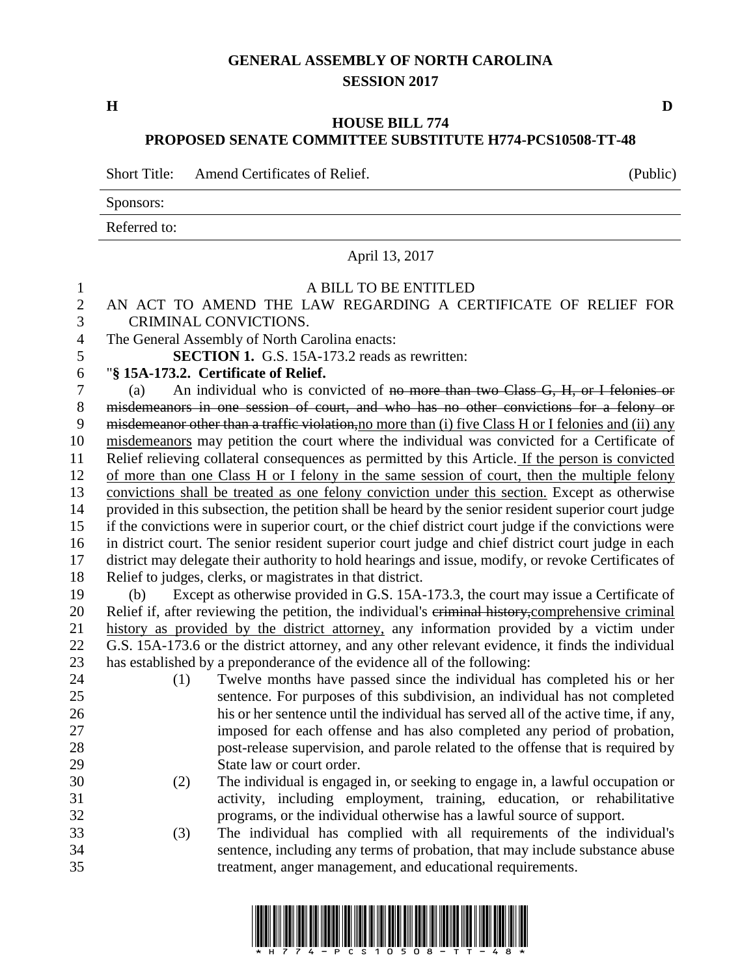## **GENERAL ASSEMBLY OF NORTH CAROLINA SESSION 2017**

**H D**

## **HOUSE BILL 774 PROPOSED SENATE COMMITTEE SUBSTITUTE H774-PCS10508-TT-48**

Short Title: Amend Certificates of Relief. (Public)

Sponsors:

## Referred to: April 13, 2017 A BILL TO BE ENTITLED AN ACT TO AMEND THE LAW REGARDING A CERTIFICATE OF RELIEF FOR CRIMINAL CONVICTIONS. The General Assembly of North Carolina enacts: **SECTION 1.** G.S. 15A-173.2 reads as rewritten: "**§ 15A-173.2. Certificate of Relief.** (a) An individual who is convicted of no more than two Class G, H, or I felonies or misdemeanors in one session of court, and who has no other convictions for a felony or 9 misdemeanor other than a traffic violation, no more than (i) five Class H or I felonies and (ii) any misdemeanors may petition the court where the individual was convicted for a Certificate of Relief relieving collateral consequences as permitted by this Article. If the person is convicted of more than one Class H or I felony in the same session of court, then the multiple felony convictions shall be treated as one felony conviction under this section. Except as otherwise provided in this subsection, the petition shall be heard by the senior resident superior court judge if the convictions were in superior court, or the chief district court judge if the convictions were in district court. The senior resident superior court judge and chief district court judge in each district may delegate their authority to hold hearings and issue, modify, or revoke Certificates of Relief to judges, clerks, or magistrates in that district. (b) Except as otherwise provided in G.S. 15A-173.3, the court may issue a Certificate of Relief if, after reviewing the petition, the individual's criminal history,comprehensive criminal history as provided by the district attorney, any information provided by a victim under G.S. 15A-173.6 or the district attorney, and any other relevant evidence, it finds the individual has established by a preponderance of the evidence all of the following: (1) Twelve months have passed since the individual has completed his or her sentence. For purposes of this subdivision, an individual has not completed his or her sentence until the individual has served all of the active time, if any, imposed for each offense and has also completed any period of probation, post-release supervision, and parole related to the offense that is required by State law or court order. (2) The individual is engaged in, or seeking to engage in, a lawful occupation or activity, including employment, training, education, or rehabilitative programs, or the individual otherwise has a lawful source of support. (3) The individual has complied with all requirements of the individual's sentence, including any terms of probation, that may include substance abuse treatment, anger management, and educational requirements.

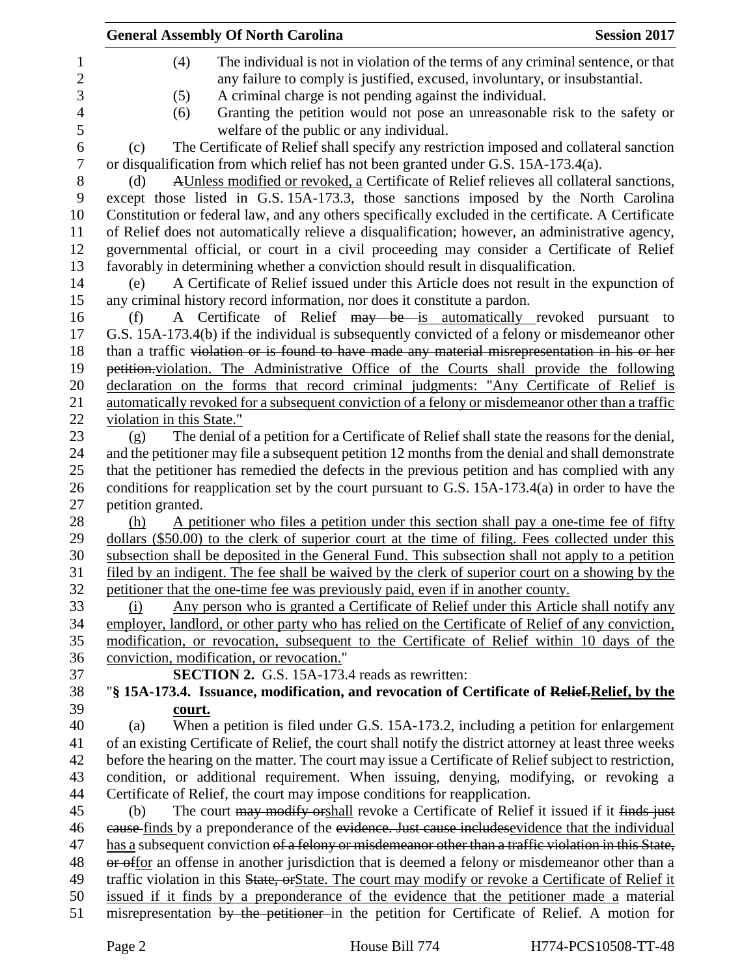|                           | <b>General Assembly Of North Carolina</b>                                                               | <b>Session 2017</b> |
|---------------------------|---------------------------------------------------------------------------------------------------------|---------------------|
| (4)                       | The individual is not in violation of the terms of any criminal sentence, or that                       |                     |
|                           | any failure to comply is justified, excused, involuntary, or insubstantial.                             |                     |
| (5)                       | A criminal charge is not pending against the individual.                                                |                     |
| (6)                       | Granting the petition would not pose an unreasonable risk to the safety or                              |                     |
|                           | welfare of the public or any individual.                                                                |                     |
| (c)                       | The Certificate of Relief shall specify any restriction imposed and collateral sanction                 |                     |
|                           | or disqualification from which relief has not been granted under G.S. 15A-173.4(a).                     |                     |
| (d)                       | AUnless modified or revoked, a Certificate of Relief relieves all collateral sanctions,                 |                     |
|                           | except those listed in G.S. 15A-173.3, those sanctions imposed by the North Carolina                    |                     |
|                           | Constitution or federal law, and any others specifically excluded in the certificate. A Certificate     |                     |
|                           | of Relief does not automatically relieve a disqualification; however, an administrative agency,         |                     |
|                           | governmental official, or court in a civil proceeding may consider a Certificate of Relief              |                     |
|                           | favorably in determining whether a conviction should result in disqualification.                        |                     |
| (e)                       | A Certificate of Relief issued under this Article does not result in the expunction of                  |                     |
|                           | any criminal history record information, nor does it constitute a pardon.                               |                     |
| (f)                       | A Certificate of Relief may be is automatically revoked pursuant to                                     |                     |
|                           | G.S. 15A-173.4(b) if the individual is subsequently convicted of a felony or misdemeanor other          |                     |
|                           | than a traffic violation or is found to have made any material misrepresentation in his or her          |                     |
|                           | petition violation. The Administrative Office of the Courts shall provide the following                 |                     |
|                           | declaration on the forms that record criminal judgments: "Any Certificate of Relief is                  |                     |
|                           | automatically revoked for a subsequent conviction of a felony or misdemeanor other than a traffic       |                     |
| violation in this State." |                                                                                                         |                     |
| (g)                       | The denial of a petition for a Certificate of Relief shall state the reasons for the denial,            |                     |
|                           | and the petitioner may file a subsequent petition 12 months from the denial and shall demonstrate       |                     |
|                           | that the petitioner has remedied the defects in the previous petition and has complied with any         |                     |
|                           | conditions for reapplication set by the court pursuant to G.S. $15A-173.4(a)$ in order to have the      |                     |
| petition granted.         |                                                                                                         |                     |
| (h)                       | A petitioner who files a petition under this section shall pay a one-time fee of fifty                  |                     |
|                           | dollars (\$50.00) to the clerk of superior court at the time of filing. Fees collected under this       |                     |
|                           | subsection shall be deposited in the General Fund. This subsection shall not apply to a petition        |                     |
|                           | filed by an indigent. The fee shall be waived by the clerk of superior court on a showing by the        |                     |
|                           | petitioner that the one-time fee was previously paid, even if in another county.                        |                     |
| (i)                       | Any person who is granted a Certificate of Relief under this Article shall notify any                   |                     |
|                           | employer, landlord, or other party who has relied on the Certificate of Relief of any conviction,       |                     |
|                           | modification, or revocation, subsequent to the Certificate of Relief within 10 days of the              |                     |
|                           | conviction, modification, or revocation."                                                               |                     |
|                           | SECTION 2. G.S. 15A-173.4 reads as rewritten:                                                           |                     |
|                           | "§ 15A-173.4. Issuance, modification, and revocation of Certificate of Relief, Relief, by the           |                     |
| court.                    | When a petition is filed under G.S. 15A-173.2, including a petition for enlargement                     |                     |
| (a)                       | of an existing Certificate of Relief, the court shall notify the district attorney at least three weeks |                     |
|                           | before the hearing on the matter. The court may issue a Certificate of Relief subject to restriction,   |                     |
|                           | condition, or additional requirement. When issuing, denying, modifying, or revoking a                   |                     |
|                           | Certificate of Relief, the court may impose conditions for reapplication.                               |                     |
| (b)                       | The court may modify or shall revoke a Certificate of Relief it issued if it finds just                 |                     |
|                           | eause finds by a preponderance of the evidence. Just cause includes evidence that the individual        |                     |
|                           | has a subsequent conviction of a felony or misdemeanor other than a traffic violation in this State,    |                     |
|                           | or offor an offense in another jurisdiction that is deemed a felony or misdemeanor other than a         |                     |
|                           | traffic violation in this State, or State. The court may modify or revoke a Certificate of Relief it    |                     |
|                           | issued if it finds by a preponderance of the evidence that the petitioner made a material               |                     |
|                           | misrepresentation by the petitioner in the petition for Certificate of Relief. A motion for             |                     |